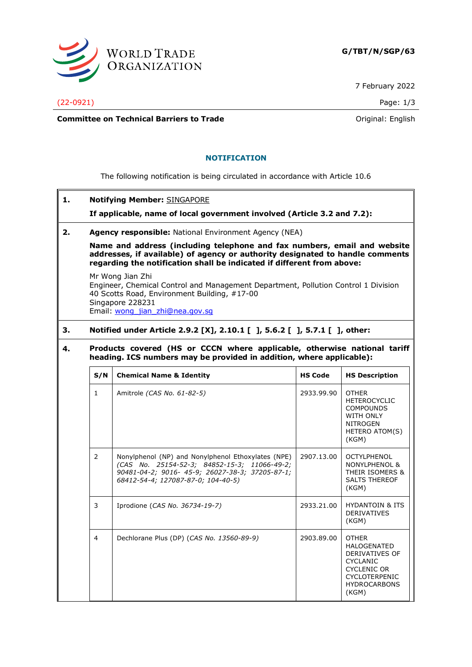

7 February 2022

(22-0921) Page: 1/3

**Committee on Technical Barriers to Trade Committee on Technical Barriers to Trade Original: English** 

## **NOTIFICATION**

The following notification is being circulated in accordance with Article 10.6

**1. Notifying Member:** SINGAPORE

**If applicable, name of local government involved (Article 3.2 and 7.2):**

#### **2. Agency responsible:** National Environment Agency (NEA)

**Name and address (including telephone and fax numbers, email and website addresses, if available) of agency or authority designated to handle comments regarding the notification shall be indicated if different from above:**

Mr Wong Jian Zhi Engineer, Chemical Control and Management Department, Pollution Control 1 Division 40 Scotts Road, Environment Building, #17-00 Singapore 228231 Email: [wong\\_jian\\_zhi@nea.gov.sg](mailto:wong_jian_zhi@nea.gov.sg)

# **3. Notified under Article 2.9.2 [X], 2.10.1 [ ], 5.6.2 [ ], 5.7.1 [ ], other:**

## **4. Products covered (HS or CCCN where applicable, otherwise national tariff heading. ICS numbers may be provided in addition, where applicable):**

| S/N           | <b>Chemical Name &amp; Identity</b>                                                                                                                                                         | <b>HS Code</b> | <b>HS Description</b>                                                                                                                                 |
|---------------|---------------------------------------------------------------------------------------------------------------------------------------------------------------------------------------------|----------------|-------------------------------------------------------------------------------------------------------------------------------------------------------|
| $\mathbf{1}$  | Amitrole (CAS No. 61-82-5)                                                                                                                                                                  | 2933.99.90     | <b>OTHER</b><br><b>HETEROCYCLIC</b><br><b>COMPOUNDS</b><br>WITH ONLY<br><b>NITROGEN</b><br>HETERO ATOM(S)<br>(KGM)                                    |
| $\mathcal{P}$ | Nonylphenol (NP) and Nonylphenol Ethoxylates (NPE)<br>(CAS No. 25154-52-3; 84852-15-3; 11066-49-2;<br>90481-04-2; 9016- 45-9; 26027-38-3; 37205-87-1;<br>68412-54-4; 127087-87-0; 104-40-5) | 2907.13.00     | <b>OCTYLPHENOL</b><br>NONYLPHENOL &<br>THEIR ISOMERS &<br><b>SALTS THEREOF</b><br>(KGM)                                                               |
| 3             | Iprodione (CAS No. 36734-19-7)                                                                                                                                                              | 2933.21.00     | <b>HYDANTOIN &amp; ITS</b><br><b>DERIVATIVES</b><br>(KGM)                                                                                             |
| 4             | Dechlorane Plus (DP) (CAS No. 13560-89-9)                                                                                                                                                   | 2903.89.00     | <b>OTHER</b><br><b>HALOGENATED</b><br>DERIVATIVES OF<br><b>CYCLANIC</b><br><b>CYCLENIC OR</b><br><b>CYCLOTERPENIC</b><br><b>HYDROCARBONS</b><br>(KGM) |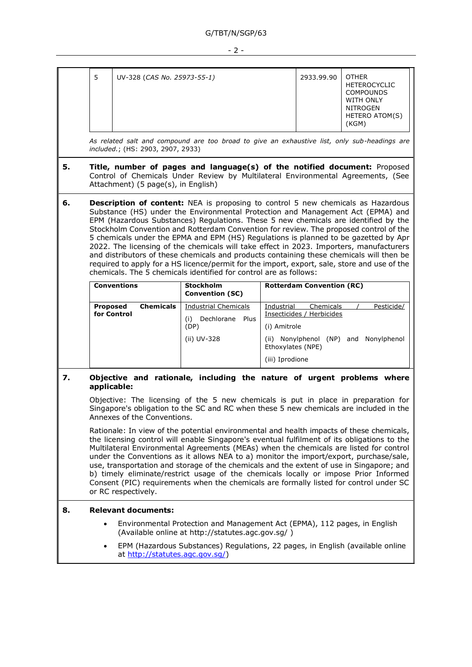| 5<br>UV-328 (CAS No. 25973-55-1) | 2933.99.90 | <b>OTHER</b><br><b>HETEROCYCLIC</b><br><b>COMPOUNDS</b><br>WITH ONLY<br>NITROGEN<br><b>HETERO ATOM(S)</b><br>(KGM) |
|----------------------------------|------------|--------------------------------------------------------------------------------------------------------------------|
|----------------------------------|------------|--------------------------------------------------------------------------------------------------------------------|

*As related salt and compound are too broad to give an exhaustive list, only sub-headings are included.*; (HS: 2903, 2907, 2933)

- **5. Title, number of pages and language(s) of the notified document:** Proposed Control of Chemicals Under Review by Multilateral Environmental Agreements, (See Attachment) (5 page(s), in English)
- **6. Description of content:** NEA is proposing to control 5 new chemicals as Hazardous Substance (HS) under the Environmental Protection and Management Act (EPMA) and EPM (Hazardous Substances) Regulations. These 5 new chemicals are identified by the Stockholm Convention and Rotterdam Convention for review. The proposed control of the 5 chemicals under the EPMA and EPM (HS) Regulations is planned to be gazetted by Apr 2022. The licensing of the chemicals will take effect in 2023. Importers, manufacturers and distributors of these chemicals and products containing these chemicals will then be required to apply for a HS licence/permit for the import, export, sale, store and use of the chemicals. The 5 chemicals identified for control are as follows:

| <b>Conventions</b>                          | <b>Stockholm</b><br><b>Convention (SC)</b>                               | <b>Rotterdam Convention (RC)</b>                                                                                                                                          |  |  |
|---------------------------------------------|--------------------------------------------------------------------------|---------------------------------------------------------------------------------------------------------------------------------------------------------------------------|--|--|
| <b>Chemicals</b><br>Proposed<br>for Control | Industrial Chemicals<br>Dechlorane<br>Plus<br>(i)<br>(DP)<br>(ii) UV-328 | Pesticide/<br>Industrial<br>Chemicals<br>Insecticides / Herbicides<br>(i) Amitrole<br>Nonylphenol<br>Nonylphenol (NP) and<br>(ii)<br>Ethoxylates (NPE)<br>(iii) Iprodione |  |  |

## **7. Objective and rationale, including the nature of urgent problems where applicable:**

Objective: The licensing of the 5 new chemicals is put in place in preparation for Singapore's obligation to the SC and RC when these 5 new chemicals are included in the Annexes of the Conventions.

Rationale: In view of the potential environmental and health impacts of these chemicals, the licensing control will enable Singapore's eventual fulfilment of its obligations to the Multilateral Environmental Agreements (MEAs) when the chemicals are listed for control under the Conventions as it allows NEA to a) monitor the import/export, purchase/sale, use, transportation and storage of the chemicals and the extent of use in Singapore; and b) timely eliminate/restrict usage of the chemicals locally or impose Prior Informed Consent (PIC) requirements when the chemicals are formally listed for control under SC or RC respectively.

### **8. Relevant documents:**

- Environmental Protection and Management Act (EPMA), 112 pages, in English (Available online at http://statutes.agc.gov.sg/ )
- EPM (Hazardous Substances) Regulations, 22 pages, in English (available online at http://statutes.agc.gov.sg/)